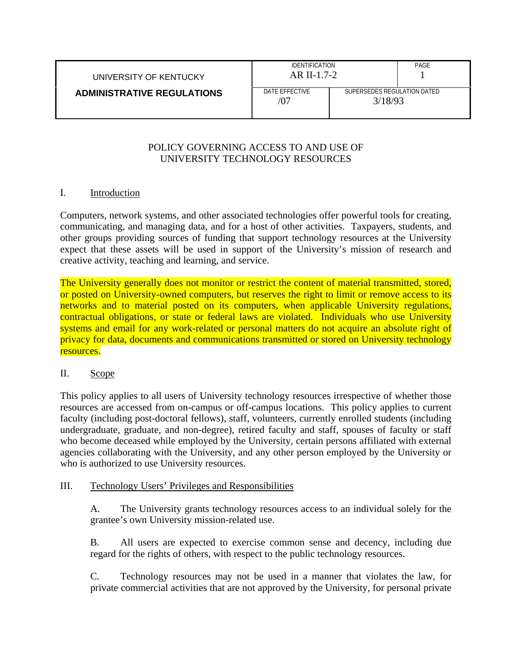| UNIVERSITY OF KENTUCKY            | <b>IDENTIFICATION</b><br>$AR$ II-1.7-2 |                                        | PAGE |
|-----------------------------------|----------------------------------------|----------------------------------------|------|
| <b>ADMINISTRATIVE REGULATIONS</b> | DATE EFFECTIVE<br>/07                  | SUPERSEDES REGULATION DATED<br>3/18/93 |      |

### POLICY GOVERNING ACCESS TO AND USE OF UNIVERSITY TECHNOLOGY RESOURCES

### I. Introduction

Computers, network systems, and other associated technologies offer powerful tools for creating, communicating, and managing data, and for a host of other activities. Taxpayers, students, and other groups providing sources of funding that support technology resources at the University expect that these assets will be used in support of the University's mission of research and creative activity, teaching and learning, and service.

The University generally does not monitor or restrict the content of material transmitted, stored, or posted on University-owned computers, but reserves the right to limit or remove access to its networks and to material posted on its computers, when applicable University regulations, contractual obligations, or state or federal laws are violated. Individuals who use University systems and email for any work-related or personal matters do not acquire an absolute right of privacy for data, documents and communications transmitted or stored on University technology resources.

#### II. Scope

This policy applies to all users of University technology resources irrespective of whether those resources are accessed from on-campus or off-campus locations. This policy applies to current faculty (including post-doctoral fellows), staff, volunteers, currently enrolled students (including undergraduate, graduate, and non-degree), retired faculty and staff, spouses of faculty or staff who become deceased while employed by the University, certain persons affiliated with external agencies collaborating with the University, and any other person employed by the University or who is authorized to use University resources.

#### III. Technology Users' Privileges and Responsibilities

A. The University grants technology resources access to an individual solely for the grantee's own University mission-related use.

B. All users are expected to exercise common sense and decency, including due regard for the rights of others, with respect to the public technology resources.

C. Technology resources may not be used in a manner that violates the law, for private commercial activities that are not approved by the University, for personal private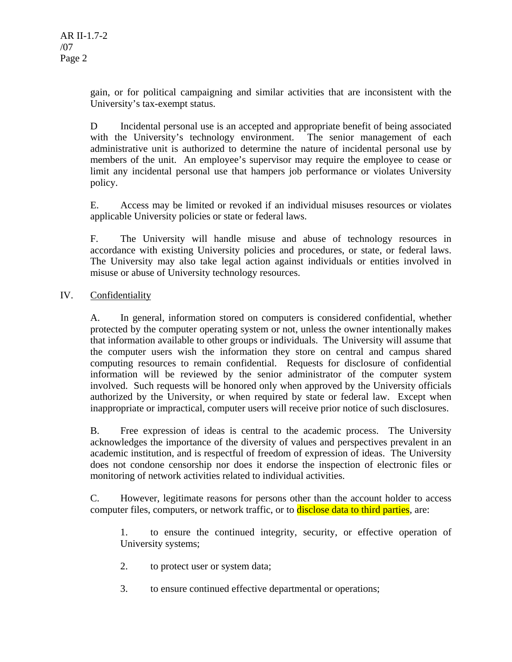gain, or for political campaigning and similar activities that are inconsistent with the University's tax-exempt status.

D Incidental personal use is an accepted and appropriate benefit of being associated with the University's technology environment. The senior management of each administrative unit is authorized to determine the nature of incidental personal use by members of the unit. An employee's supervisor may require the employee to cease or limit any incidental personal use that hampers job performance or violates University policy.

E. Access may be limited or revoked if an individual misuses resources or violates applicable University policies or state or federal laws.

F. The University will handle misuse and abuse of technology resources in accordance with existing University policies and procedures, or state, or federal laws. The University may also take legal action against individuals or entities involved in misuse or abuse of University technology resources.

# IV. Confidentiality

A. In general, information stored on computers is considered confidential, whether protected by the computer operating system or not, unless the owner intentionally makes that information available to other groups or individuals. The University will assume that the computer users wish the information they store on central and campus shared computing resources to remain confidential. Requests for disclosure of confidential information will be reviewed by the senior administrator of the computer system involved. Such requests will be honored only when approved by the University officials authorized by the University, or when required by state or federal law. Except when inappropriate or impractical, computer users will receive prior notice of such disclosures.

B. Free expression of ideas is central to the academic process. The University acknowledges the importance of the diversity of values and perspectives prevalent in an academic institution, and is respectful of freedom of expression of ideas. The University does not condone censorship nor does it endorse the inspection of electronic files or monitoring of network activities related to individual activities.

C. However, legitimate reasons for persons other than the account holder to access computer files, computers, or network traffic, or to **disclose data to third parties**, are:

1. to ensure the continued integrity, security, or effective operation of University systems;

- 2. to protect user or system data;
- 3. to ensure continued effective departmental or operations;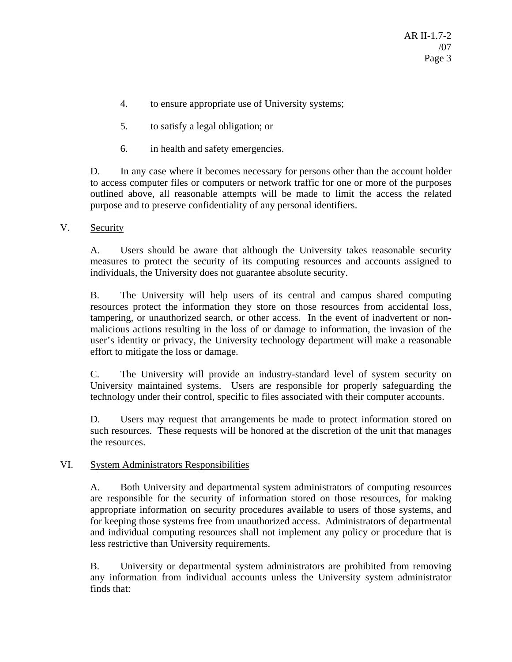- 4. to ensure appropriate use of University systems;
- 5. to satisfy a legal obligation; or
- 6. in health and safety emergencies.

D. In any case where it becomes necessary for persons other than the account holder to access computer files or computers or network traffic for one or more of the purposes outlined above, all reasonable attempts will be made to limit the access the related purpose and to preserve confidentiality of any personal identifiers.

### V. Security

A. Users should be aware that although the University takes reasonable security measures to protect the security of its computing resources and accounts assigned to individuals, the University does not guarantee absolute security.

B. The University will help users of its central and campus shared computing resources protect the information they store on those resources from accidental loss, tampering, or unauthorized search, or other access. In the event of inadvertent or nonmalicious actions resulting in the loss of or damage to information, the invasion of the user's identity or privacy, the University technology department will make a reasonable effort to mitigate the loss or damage.

C. The University will provide an industry-standard level of system security on University maintained systems. Users are responsible for properly safeguarding the technology under their control, specific to files associated with their computer accounts.

D. Users may request that arrangements be made to protect information stored on such resources. These requests will be honored at the discretion of the unit that manages the resources.

## VI. System Administrators Responsibilities

A. Both University and departmental system administrators of computing resources are responsible for the security of information stored on those resources, for making appropriate information on security procedures available to users of those systems, and for keeping those systems free from unauthorized access. Administrators of departmental and individual computing resources shall not implement any policy or procedure that is less restrictive than University requirements.

B. University or departmental system administrators are prohibited from removing any information from individual accounts unless the University system administrator finds that: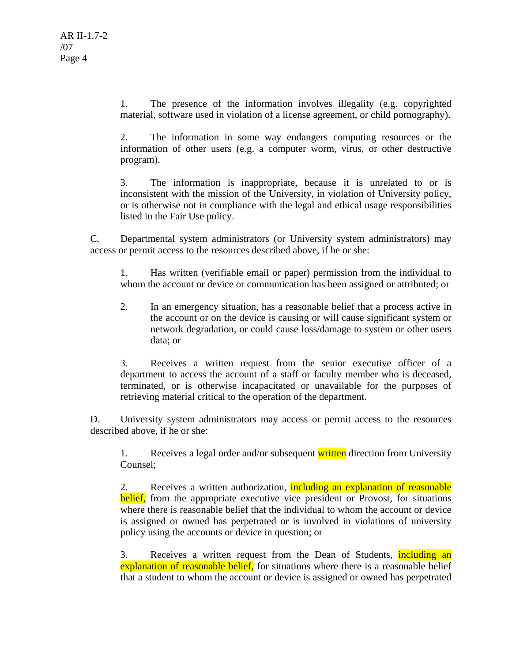1. The presence of the information involves illegality (e.g. copyrighted material, software used in violation of a license agreement, or child pornography).

2. The information in some way endangers computing resources or the information of other users (e.g. a computer worm, virus, or other destructive program).

3. The information is inappropriate, because it is unrelated to or is inconsistent with the mission of the University, in violation of University policy, or is otherwise not in compliance with the legal and ethical usage responsibilities listed in the Fair Use policy.

C. Departmental system administrators (or University system administrators) may access or permit access to the resources described above, if he or she:

1. Has written (verifiable email or paper) permission from the individual to whom the account or device or communication has been assigned or attributed; or

2. In an emergency situation, has a reasonable belief that a process active in the account or on the device is causing or will cause significant system or network degradation, or could cause loss/damage to system or other users data; or

3. Receives a written request from the senior executive officer of a department to access the account of a staff or faculty member who is deceased, terminated, or is otherwise incapacitated or unavailable for the purposes of retrieving material critical to the operation of the department.

D. University system administrators may access or permit access to the resources described above, if he or she:

1. Receives a legal order and/or subsequent written direction from University Counsel;

2. Receives a written authorization, including an explanation of reasonable belief, from the appropriate executive vice president or Provost, for situations where there is reasonable belief that the individual to whom the account or device is assigned or owned has perpetrated or is involved in violations of university policy using the accounts or device in question; or

3. Receives a written request from the Dean of Students, including an explanation of reasonable belief, for situations where there is a reasonable belief that a student to whom the account or device is assigned or owned has perpetrated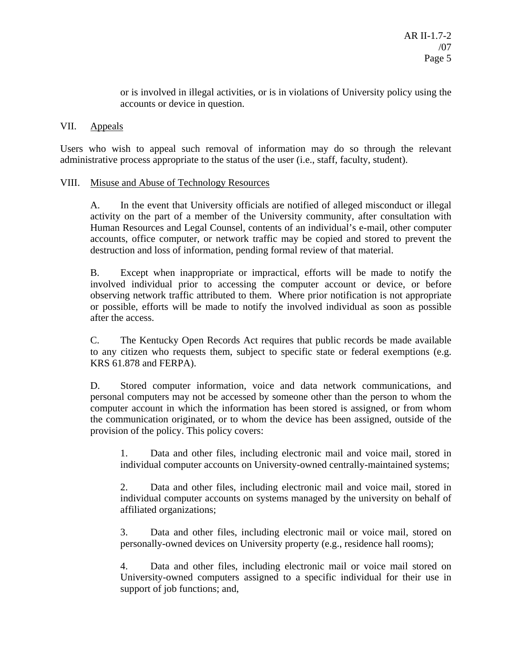or is involved in illegal activities, or is in violations of University policy using the accounts or device in question.

#### VII. Appeals

Users who wish to appeal such removal of information may do so through the relevant administrative process appropriate to the status of the user (i.e., staff, faculty, student).

### VIII. Misuse and Abuse of Technology Resources

A. In the event that University officials are notified of alleged misconduct or illegal activity on the part of a member of the University community, after consultation with Human Resources and Legal Counsel, contents of an individual's e-mail, other computer accounts, office computer, or network traffic may be copied and stored to prevent the destruction and loss of information, pending formal review of that material.

B. Except when inappropriate or impractical, efforts will be made to notify the involved individual prior to accessing the computer account or device, or before observing network traffic attributed to them. Where prior notification is not appropriate or possible, efforts will be made to notify the involved individual as soon as possible after the access.

C. The Kentucky Open Records Act requires that public records be made available to any citizen who requests them, subject to specific state or federal exemptions (e.g. KRS 61.878 and FERPA).

D. Stored computer information, voice and data network communications, and personal computers may not be accessed by someone other than the person to whom the computer account in which the information has been stored is assigned, or from whom the communication originated, or to whom the device has been assigned, outside of the provision of the policy. This policy covers:

1. Data and other files, including electronic mail and voice mail, stored in individual computer accounts on University-owned centrally-maintained systems;

2. Data and other files, including electronic mail and voice mail, stored in individual computer accounts on systems managed by the university on behalf of affiliated organizations;

3. Data and other files, including electronic mail or voice mail, stored on personally-owned devices on University property (e.g., residence hall rooms);

4. Data and other files, including electronic mail or voice mail stored on University-owned computers assigned to a specific individual for their use in support of job functions; and,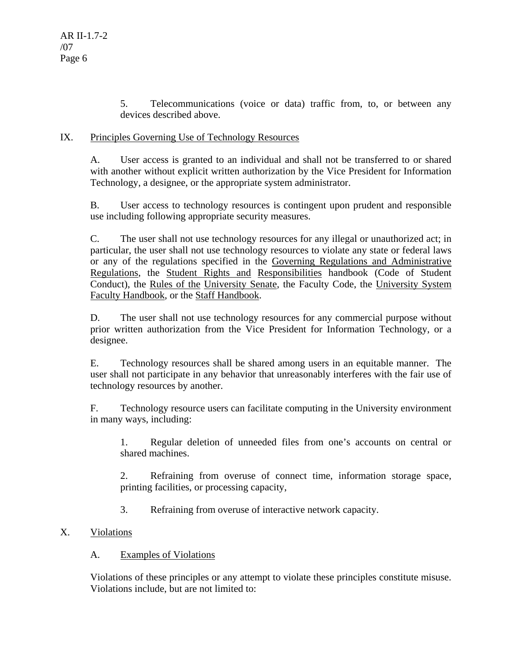5. Telecommunications (voice or data) traffic from, to, or between any devices described above.

### IX. Principles Governing Use of Technology Resources

A. User access is granted to an individual and shall not be transferred to or shared with another without explicit written authorization by the Vice President for Information Technology, a designee, or the appropriate system administrator.

B. User access to technology resources is contingent upon prudent and responsible use including following appropriate security measures.

C. The user shall not use technology resources for any illegal or unauthorized act; in particular, the user shall not use technology resources to violate any state or federal laws or any of the regulations specified in the Governing Regulations and Administrative Regulations, the Student Rights and Responsibilities handbook (Code of Student Conduct), the Rules of the University Senate, the Faculty Code, the University System Faculty Handbook, or the Staff Handbook.

D. The user shall not use technology resources for any commercial purpose without prior written authorization from the Vice President for Information Technology, or a designee.

E. Technology resources shall be shared among users in an equitable manner. The user shall not participate in any behavior that unreasonably interferes with the fair use of technology resources by another.

F. Technology resource users can facilitate computing in the University environment in many ways, including:

1. Regular deletion of unneeded files from one's accounts on central or shared machines.

2. Refraining from overuse of connect time, information storage space, printing facilities, or processing capacity,

3. Refraining from overuse of interactive network capacity.

## X. Violations

#### A. Examples of Violations

Violations of these principles or any attempt to violate these principles constitute misuse. Violations include, but are not limited to: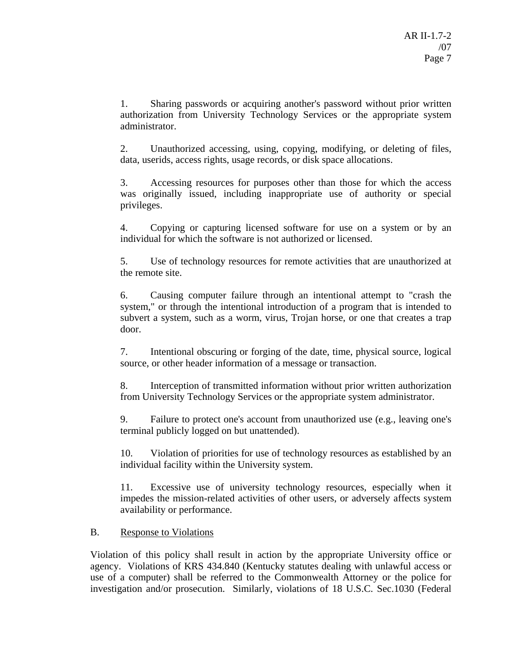1. Sharing passwords or acquiring another's password without prior written authorization from University Technology Services or the appropriate system administrator.

2. Unauthorized accessing, using, copying, modifying, or deleting of files, data, userids, access rights, usage records, or disk space allocations.

3. Accessing resources for purposes other than those for which the access was originally issued, including inappropriate use of authority or special privileges.

4. Copying or capturing licensed software for use on a system or by an individual for which the software is not authorized or licensed.

5. Use of technology resources for remote activities that are unauthorized at the remote site.

6. Causing computer failure through an intentional attempt to "crash the system," or through the intentional introduction of a program that is intended to subvert a system, such as a worm, virus, Trojan horse, or one that creates a trap door.

7. Intentional obscuring or forging of the date, time, physical source, logical source, or other header information of a message or transaction.

8. Interception of transmitted information without prior written authorization from University Technology Services or the appropriate system administrator.

9. Failure to protect one's account from unauthorized use (e.g., leaving one's terminal publicly logged on but unattended).

10. Violation of priorities for use of technology resources as established by an individual facility within the University system.

11. Excessive use of university technology resources, especially when it impedes the mission-related activities of other users, or adversely affects system availability or performance.

## B. Response to Violations

Violation of this policy shall result in action by the appropriate University office or agency. Violations of KRS 434.840 (Kentucky statutes dealing with unlawful access or use of a computer) shall be referred to the Commonwealth Attorney or the police for investigation and/or prosecution. Similarly, violations of 18 U.S.C. Sec.1030 (Federal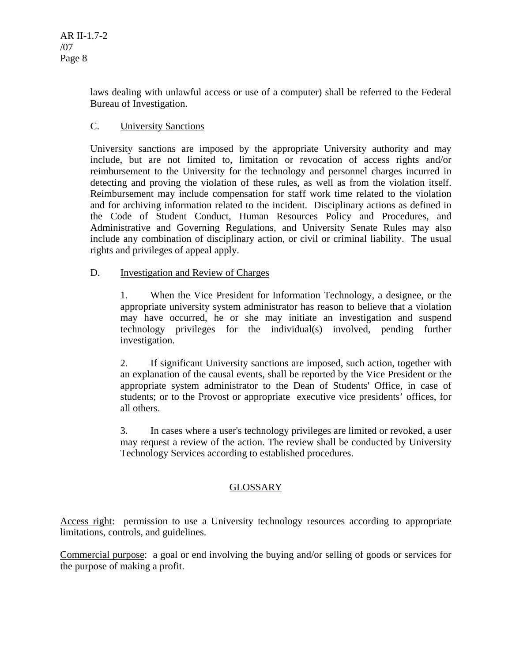laws dealing with unlawful access or use of a computer) shall be referred to the Federal Bureau of Investigation.

### C. University Sanctions

University sanctions are imposed by the appropriate University authority and may include, but are not limited to, limitation or revocation of access rights and/or reimbursement to the University for the technology and personnel charges incurred in detecting and proving the violation of these rules, as well as from the violation itself. Reimbursement may include compensation for staff work time related to the violation and for archiving information related to the incident. Disciplinary actions as defined in the Code of Student Conduct, Human Resources Policy and Procedures, and Administrative and Governing Regulations, and University Senate Rules may also include any combination of disciplinary action, or civil or criminal liability. The usual rights and privileges of appeal apply.

### D. Investigation and Review of Charges

1. When the Vice President for Information Technology, a designee, or the appropriate university system administrator has reason to believe that a violation may have occurred, he or she may initiate an investigation and suspend technology privileges for the individual(s) involved, pending further investigation.

2. If significant University sanctions are imposed, such action, together with an explanation of the causal events, shall be reported by the Vice President or the appropriate system administrator to the Dean of Students' Office, in case of students; or to the Provost or appropriate executive vice presidents' offices, for all others.

3. In cases where a user's technology privileges are limited or revoked, a user may request a review of the action. The review shall be conducted by University Technology Services according to established procedures.

## GLOSSARY

Access right: permission to use a University technology resources according to appropriate limitations, controls, and guidelines.

Commercial purpose: a goal or end involving the buying and/or selling of goods or services for the purpose of making a profit.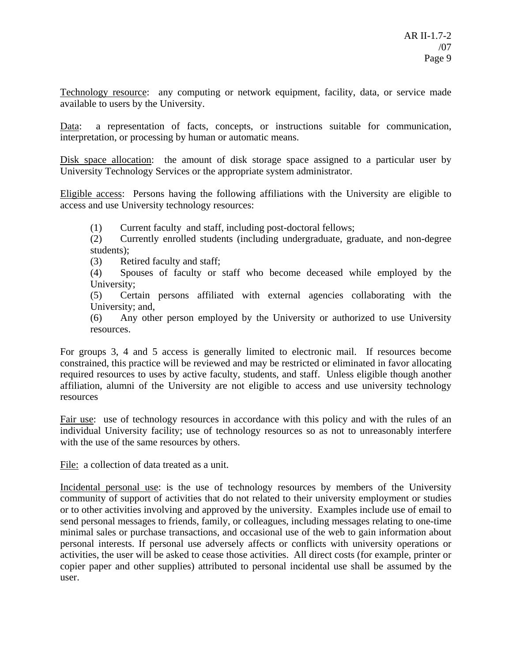Technology resource: any computing or network equipment, facility, data, or service made available to users by the University.

Data: a representation of facts, concepts, or instructions suitable for communication, interpretation, or processing by human or automatic means.

Disk space allocation: the amount of disk storage space assigned to a particular user by University Technology Services or the appropriate system administrator.

Eligible access: Persons having the following affiliations with the University are eligible to access and use University technology resources:

(1) Current faculty and staff, including post-doctoral fellows;

(2) Currently enrolled students (including undergraduate, graduate, and non-degree students);

(3) Retired faculty and staff;

(4) Spouses of faculty or staff who become deceased while employed by the University;

(5) Certain persons affiliated with external agencies collaborating with the University; and,

(6) Any other person employed by the University or authorized to use University resources.

For groups 3, 4 and 5 access is generally limited to electronic mail. If resources become constrained, this practice will be reviewed and may be restricted or eliminated in favor allocating required resources to uses by active faculty, students, and staff. Unless eligible though another affiliation, alumni of the University are not eligible to access and use university technology resources

Fair use: use of technology resources in accordance with this policy and with the rules of an individual University facility; use of technology resources so as not to unreasonably interfere with the use of the same resources by others.

File: a collection of data treated as a unit.

Incidental personal use: is the use of technology resources by members of the University community of support of activities that do not related to their university employment or studies or to other activities involving and approved by the university. Examples include use of email to send personal messages to friends, family, or colleagues, including messages relating to one-time minimal sales or purchase transactions, and occasional use of the web to gain information about personal interests. If personal use adversely affects or conflicts with university operations or activities, the user will be asked to cease those activities. All direct costs (for example, printer or copier paper and other supplies) attributed to personal incidental use shall be assumed by the user.